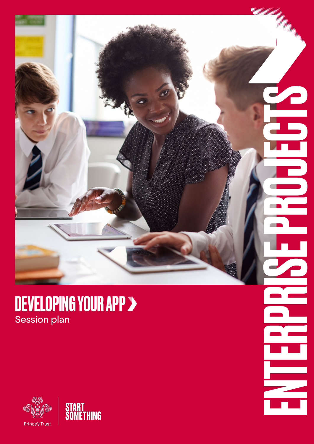

**exp** 

▅

### DEVELOPING YOUR APP Session plan

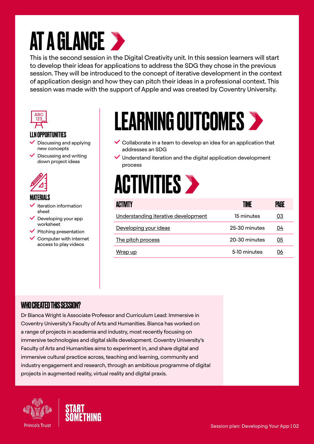## **AT A GLANCE >**

This is the second session in the Digital Creativity unit. In this session learners will start to develop their ideas for applications to address the SDG they chose in the previous session. They will be introduced to the concept of iterative development in the context of application design and how they can pitch their ideas in a professional context. This session was made with the support of Apple and was created by Coventry University.



### LLN OPPORTUNITIES

- Discussing and applying new concepts
- $\vee$  Discussing and writing down project ideas



### MATERIALS

- Iteration information sheet
- $\vee$  Developing your app worksheet
- $\blacktriangleright$  Pitching presentation
- $\checkmark$  Computer with internet access to play videos

## LEARNING OUTCOMES

- $\vee$  Collaborate in a team to develop an idea for an application that addresses an SDG
- $\vee$  Understand iteration and the digital application development process



| ACTIVITY                            | TIME          | PAGE |
|-------------------------------------|---------------|------|
| Understanding iterative development | 15 minutes    | 03   |
| Developing your ideas               | 25-30 minutes | 04   |
| The pitch process                   | 20-30 minutes | 05   |
| <u>Wrap up</u>                      | 5-10 minutes  | 06   |

### WHO CREATED THIS SESSION?

Dr Bianca Wright is Associate Professor and Curriculum Lead: Immersive in Coventry University's Faculty of Arts and Humanities. Bianca has worked on a range of projects in academia and industry, most recently focusing on immersive technologies and digital skills development. Coventry University's Faculty of Arts and Humanities aims to experiment in, and share digital and immersive cultural practice across, teaching and learning, community and industry engagement and research, through an ambitious programme of digital projects in augmented reality, virtual reality and digital praxis.



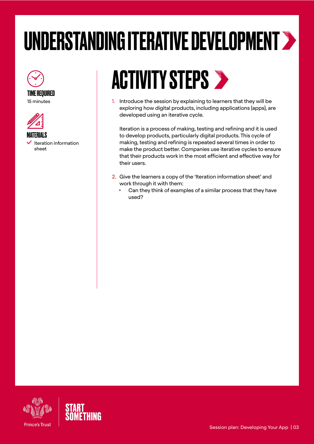# <span id="page-2-0"></span>UNDERSTANDING ITERATIVE DEVELOPMENT



TIME REQUIRED 15 minutes



 Iteration information sheet

## **ACTIVITY STEPS >**

1. Introduce the session by explaining to learners that they will be exploring how digital products, including applications (apps), are developed using an iterative cycle.

Iteration is a process of making, testing and refining and it is used to develop products, particularly digital products. This cycle of making, testing and refining is repeated several times in order to make the product better. Companies use iterative cycles to ensure that their products work in the most efficient and effective way for their users.

- 2. Give the learners a copy of the 'Iteration information sheet' and work through it with them:
	- Can they think of examples of a similar process that they have used?

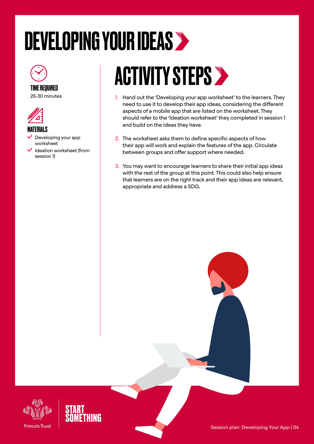## <span id="page-3-0"></span>DEVELOPING YOUR IDEAS



### TIME REQUIRED

25-30 minutes



#### **MATERIALS**

- Developing your app worksheet
- $\checkmark$  Ideation worksheet (from session 1)

## ACTIVITY STEPS >

- 1. Hand out the 'Developing your app worksheet' to the learners. They need to use it to develop their app ideas, considering the different aspects of a mobile app that are listed on the worksheet. They should refer to the 'Ideation worksheet' they completed in session 1 and build on the ideas they have.
- 2. The worksheet asks them to define specific aspects of how their app will work and explain the features of the app. Circulate between groups and offer support where needed.
- 3. You may want to encourage learners to share their initial app ideas with the rest of the group at this point. This could also help ensure that learners are on the right track and their app ideas are relevant, appropriate and address a SDG.



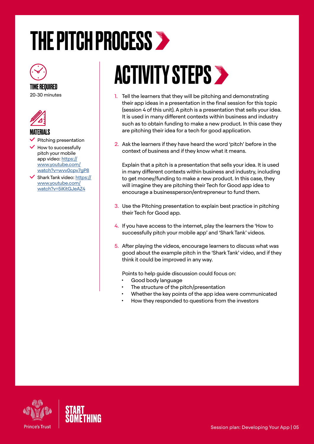## <span id="page-4-0"></span>THE PITCH PROCESS >



#### TIME REQUIRED 20-30 minutes



### MATERIALS

- Pitching presentation
- How to successfully pitch your mobile app video: [https://](https://www.youtube.com/watch?v=wvv0cpv7gP8) [www.youtube.com/](https://www.youtube.com/watch?v=wvv0cpv7gP8) [watch?v=wvv0cpv7gP8](https://www.youtube.com/watch?v=wvv0cpv7gP8)
- $\blacktriangle$  Shark Tank video: [https://](https://www.youtube.com/watch?v=5iKitGJeAZ4) [www.youtube.com/](https://www.youtube.com/watch?v=5iKitGJeAZ4) [watch?v=5iKitGJeAZ4](https://www.youtube.com/watch?v=5iKitGJeAZ4)

## **ACTIVITY STEPS >**

- 1. Tell the learners that they will be pitching and demonstrating their app ideas in a presentation in the final session for this topic (session 4 of this unit). A pitch is a presentation that sells your idea. It is used in many different contexts within business and industry such as to obtain funding to make a new product. In this case they are pitching their idea for a tech for good application.
- 2. Ask the learners if they have heard the word 'pitch' before in the context of business and if they know what it means.

Explain that a pitch is a presentation that sells your idea. It is used in many different contexts within business and industry, including to get money/funding to make a new product. In this case, they will imagine they are pitching their Tech for Good app idea to encourage a businessperson/entrepreneur to fund them.

- 3. Use the Pitching presentation to explain best practice in pitching their Tech for Good app.
- 4. If you have access to the internet, play the learners the 'How to successfully pitch your mobile app' and 'Shark Tank' videos.
- 5. After playing the videos, encourage learners to discuss what was good about the example pitch in the 'Shark Tank' video, and if they think it could be improved in any way.

Points to help guide discussion could focus on:

- Good body language
- The structure of the pitch/presentation
- Whether the key points of the app idea were communicated
- How they responded to questions from the investors